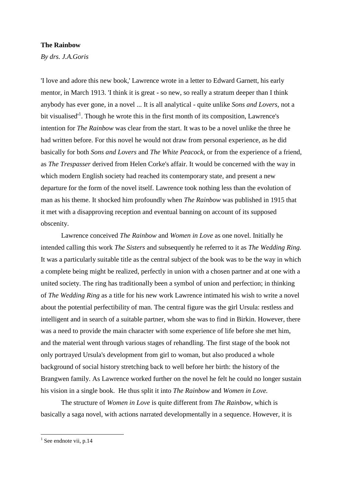## **The Rainbow**

*By drs. J.A.Goris*

'I love and adore this new book,' Lawrence wrote in a letter to Edward Garnett, his early mentor, in March 1913. 'I think it is great - so new, so really a stratum deeper than I think anybody has ever gone, in a novel ... It is all analytical - quite unlike *Sons and Lovers,* not a bit visualised<sup>1</sup>. Though he wrote this in the first month of its composition, Lawrence's intention for *The Rainbow* was clear from the start. It was to be a novel unlike the three he had written before. For this novel he would not draw from personal experience, as he did basically for both *Sons and Lovers* and *The White Peacock*, or from the experience of a friend, as *The Trespasser* derived from Helen Corke's affair. It would be concerned with the way in which modern English society had reached its contemporary state, and present a new departure for the form of the novel itself. Lawrence took nothing less than the evolution of man as his theme. It shocked him profoundly when *The Rainbow* was published in 1915 that it met with a disapproving reception and eventual banning on account of its supposed obscenity.

Lawrence conceived *The Rainbow* and *Women in Love* as one novel. Initially he intended calling this work *The Sisters* and subsequently he referred to it as *The Wedding Ring.*  It was a particularly suitable title as the central subject of the book was to be the way in which a complete being might be realized, perfectly in union with a chosen partner and at one with a united society. The ring has traditionally been a symbol of union and perfection; in thinking of *The Wedding Ring* as a title for his new work Lawrence intimated his wish to write a novel about the potential perfectibility of man. The central figure was the girl Ursula: restless and intelligent and in search of a suitable partner, whom she was to find in Birkin. However, there was a need to provide the main character with some experience of life before she met him, and the material went through various stages of rehandling. The first stage of the book not only portrayed Ursula's development from girl to woman, but also produced a whole background of social history stretching back to well before her birth: the history of the Brangwen family. As Lawrence worked further on the novel he felt he could no longer sustain his vision in a single book. He thus split it into *The Rainbow* and *Women in Love.*

The structure of *Women in Love* is quite different from *The Rainbow*, which is basically a saga novel, with actions narrated developmentally in a sequence. However, it is

1

 $<sup>1</sup>$  See endnote vii, p.14</sup>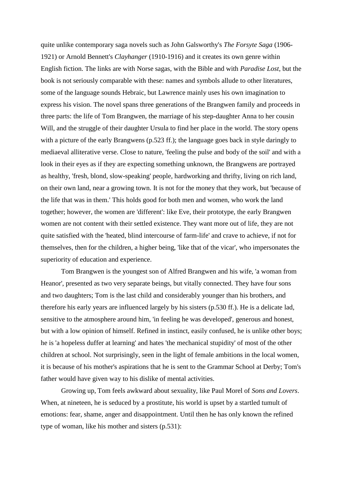quite unlike contemporary saga novels such as John Galsworthy's *The Forsyte Saga* (1906- 1921) or Arnold Bennett's *Clayhanger* (1910-1916) and it creates its own genre within English fiction. The links are with Norse sagas, with the Bible and with *Paradise Lost*, but the book is not seriously comparable with these: names and symbols allude to other literatures, some of the language sounds Hebraic, but Lawrence mainly uses his own imagination to express his vision. The novel spans three generations of the Brangwen family and proceeds in three parts: the life of Tom Brangwen, the marriage of his step-daughter Anna to her cousin Will, and the struggle of their daughter Ursula to find her place in the world. The story opens with a picture of the early Brangwens (p.523 ff.); the language goes back in style daringly to mediaeval alliterative verse. Close to nature, 'feeling the pulse and body of the soil' and with a look in their eyes as if they are expecting something unknown, the Brangwens are portrayed as healthy, 'fresh, blond, slow-speaking' people, hardworking and thrifty, living on rich land, on their own land, near a growing town. It is not for the money that they work, but 'because of the life that was in them.' This holds good for both men and women, who work the land together; however, the women are 'different': like Eve, their prototype, the early Brangwen women are not content with their settled existence. They want more out of life, they are not quite satisfied with the 'heated, blind intercourse of farm-life' and crave to achieve, if not for themselves, then for the children, a higher being, 'like that of the vicar', who impersonates the superiority of education and experience.

Tom Brangwen is the youngest son of Alfred Brangwen and his wife, 'a woman from Heanor', presented as two very separate beings, but vitally connected. They have four sons and two daughters; Tom is the last child and considerably younger than his brothers, and therefore his early years are influenced largely by his sisters (p.530 ff.). He is a delicate lad, sensitive to the atmosphere around him, 'in feeling he was developed', generous and honest, but with a low opinion of himself. Refined in instinct, easily confused, he is unlike other boys; he is 'a hopeless duffer at learning' and hates 'the mechanical stupidity' of most of the other children at school. Not surprisingly, seen in the light of female ambitions in the local women, it is because of his mother's aspirations that he is sent to the Grammar School at Derby; Tom's father would have given way to his dislike of mental activities.

Growing up, Tom feels awkward about sexuality, like Paul Morel of *Sons and Lovers*. When, at nineteen, he is seduced by a prostitute, his world is upset by a startled tumult of emotions: fear, shame, anger and disappointment. Until then he has only known the refined type of woman, like his mother and sisters (p.531):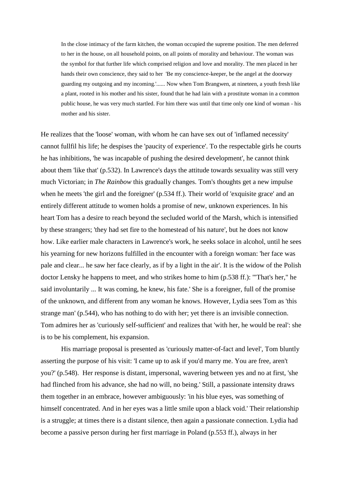In the close intimacy of the farm kitchen, the woman occupied the supreme position. The men deferred to her in the house, on all household points, on all points of morality and behaviour. The woman was the symbol for that further life which comprised religion and love and morality. The men placed in her hands their own conscience, they said to her 'Be my conscience-keeper, be the angel at the doorway guarding my outgoing and my incoming.'...... Now when Tom Brangwen, at nineteen, a youth fresh like a plant, rooted in his mother and his sister, found that he had lain with a prostitute woman in a common public house, he was very much startled. For him there was until that time only one kind of woman - his mother and his sister.

He realizes that the 'loose' woman, with whom he can have sex out of 'inflamed necessity' cannot fullfil his life; he despises the 'paucity of experience'. To the respectable girls he courts he has inhibitions, 'he was incapable of pushing the desired development', he cannot think about them 'like that' (p.532). In Lawrence's days the attitude towards sexuality was still very much Victorian; in *The Rainbow* this gradually changes. Tom's thoughts get a new impulse when he meets 'the girl and the foreigner' (p.534 ff.). Their world of 'exquisite grace' and an entirely different attitude to women holds a promise of new, unknown experiences. In his heart Tom has a desire to reach beyond the secluded world of the Marsh, which is intensified by these strangers; 'they had set fire to the homestead of his nature', but he does not know how. Like earlier male characters in Lawrence's work, he seeks solace in alcohol, until he sees his yearning for new horizons fulfilled in the encounter with a foreign woman: 'her face was pale and clear... he saw her face clearly, as if by a light in the air'. It is the widow of the Polish doctor Lensky he happens to meet, and who strikes home to him (p.538 ff.): '"That's her," he said involuntarily ... It was coming, he knew, his fate.' She is a foreigner, full of the promise of the unknown, and different from any woman he knows. However, Lydia sees Tom as 'this strange man' (p.544), who has nothing to do with her; yet there is an invisible connection. Tom admires her as 'curiously self-sufficient' and realizes that 'with her, he would be real': she is to be his complement, his expansion.

His marriage proposal is presented as 'curiously matter-of-fact and level', Tom bluntly asserting the purpose of his visit: 'I came up to ask if you'd marry me. You are free, aren't you?' (p.548). Her response is distant, impersonal, wavering between yes and no at first, 'she had flinched from his advance, she had no will, no being.' Still, a passionate intensity draws them together in an embrace, however ambiguously: 'in his blue eyes, was something of himself concentrated. And in her eyes was a little smile upon a black void.' Their relationship is a struggle; at times there is a distant silence, then again a passionate connection. Lydia had become a passive person during her first marriage in Poland (p.553 ff.), always in her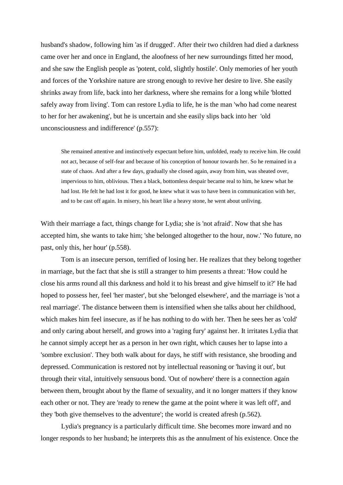husband's shadow, following him 'as if drugged'. After their two children had died a darkness came over her and once in England, the aloofness of her new surroundings fitted her mood, and she saw the English people as 'potent, cold, slightly hostile'. Only memories of her youth and forces of the Yorkshire nature are strong enough to revive her desire to live. She easily shrinks away from life, back into her darkness, where she remains for a long while 'blotted safely away from living'. Tom can restore Lydia to life, he is the man 'who had come nearest to her for her awakening', but he is uncertain and she easily slips back into her 'old unconsciousness and indifference' (p.557):

She remained attentive and instinctively expectant before him, unfolded, ready to receive him. He could not act, because of self-fear and because of his conception of honour towards her. So he remained in a state of chaos. And after a few days, gradually she closed again, away from him, was sheated over, impervious to him, oblivious. Then a black, bottomless despair became real to him, he knew what he had lost. He felt he had lost it for good, he knew what it was to have been in communication with her, and to be cast off again. In misery, his heart like a heavy stone, he went about unliving.

With their marriage a fact, things change for Lydia; she is 'not afraid'. Now that she has accepted him, she wants to take him; 'she belonged altogether to the hour, now.' 'No future, no past, only this, her hour' (p.558).

Tom is an insecure person, terrified of losing her. He realizes that they belong together in marriage, but the fact that she is still a stranger to him presents a threat: 'How could he close his arms round all this darkness and hold it to his breast and give himself to it?' He had hoped to possess her, feel 'her master', but she 'belonged elsewhere', and the marriage is 'not a real marriage'. The distance between them is intensified when she talks about her childhood, which makes him feel insecure, as if he has nothing to do with her. Then he sees her as 'cold' and only caring about herself, and grows into a 'raging fury' against her. It irritates Lydia that he cannot simply accept her as a person in her own right, which causes her to lapse into a 'sombre exclusion'. They both walk about for days, he stiff with resistance, she brooding and depressed. Communication is restored not by intellectual reasoning or 'having it out', but through their vital, intuitively sensuous bond. 'Out of nowhere' there is a connection again between them, brought about by the flame of sexuality, and it no longer matters if they know each other or not. They are 'ready to renew the game at the point where it was left off', and they 'both give themselves to the adventure'; the world is created afresh (p.562).

Lydia's pregnancy is a particularly difficult time. She becomes more inward and no longer responds to her husband; he interprets this as the annulment of his existence. Once the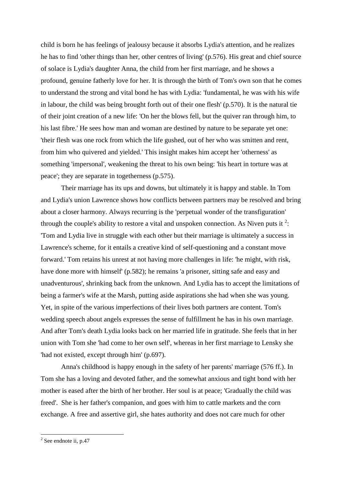child is born he has feelings of jealousy because it absorbs Lydia's attention, and he realizes he has to find 'other things than her, other centres of living' (p.576). His great and chief source of solace is Lydia's daughter Anna, the child from her first marriage, and he shows a profound, genuine fatherly love for her. It is through the birth of Tom's own son that he comes to understand the strong and vital bond he has with Lydia: 'fundamental, he was with his wife in labour, the child was being brought forth out of their one flesh' (p.570). It is the natural tie of their joint creation of a new life: 'On her the blows fell, but the quiver ran through him, to his last fibre.' He sees how man and woman are destined by nature to be separate yet one: 'their flesh was one rock from which the life gushed, out of her who was smitten and rent, from him who quivered and yielded.' This insight makes him accept her 'otherness' as something 'impersonal', weakening the threat to his own being: 'his heart in torture was at peace'; they are separate in togetherness (p.575).

Their marriage has its ups and downs, but ultimately it is happy and stable. In Tom and Lydia's union Lawrence shows how conflicts between partners may be resolved and bring about a closer harmony. Always recurring is the 'perpetual wonder of the transfiguration' through the couple's ability to restore a vital and unspoken connection. As Niven puts it  $2$ : 'Tom and Lydia live in struggle with each other but their marriage is ultimately a success in Lawrence's scheme, for it entails a creative kind of self-questioning and a constant move forward.' Tom retains his unrest at not having more challenges in life: 'he might, with risk, have done more with himself' (p.582); he remains 'a prisoner, sitting safe and easy and unadventurous', shrinking back from the unknown. And Lydia has to accept the limitations of being a farmer's wife at the Marsh, putting aside aspirations she had when she was young. Yet, in spite of the various imperfections of their lives both partners are content. Tom's wedding speech about angels expresses the sense of fulfillment he has in his own marriage. And after Tom's death Lydia looks back on her married life in gratitude. She feels that in her union with Tom she 'had come to her own self', whereas in her first marriage to Lensky she 'had not existed, except through him' (p.697).

Anna's childhood is happy enough in the safety of her parents' marriage (576 ff.). In Tom she has a loving and devoted father, and the somewhat anxious and tight bond with her mother is eased after the birth of her brother. Her soul is at peace; 'Gradually the child was freed'. She is her father's companion, and goes with him to cattle markets and the corn exchange. A free and assertive girl, she hates authority and does not care much for other

<sup>&</sup>lt;sup>2</sup> See endnote ii, p.47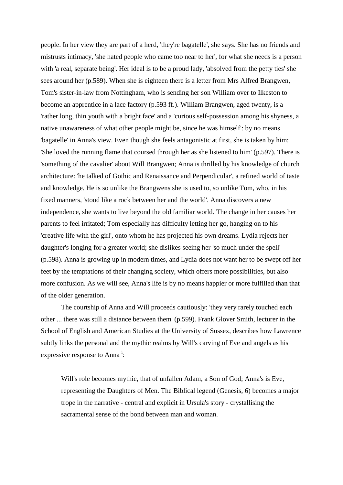people. In her view they are part of a herd, 'they're bagatelle', she says. She has no friends and mistrusts intimacy, 'she hated people who came too near to her', for what she needs is a person with 'a real, separate being'. Her ideal is to be a proud lady, 'absolved from the petty ties' she sees around her (p.589). When she is eighteen there is a letter from Mrs Alfred Brangwen, Tom's sister-in-law from Nottingham, who is sending her son William over to Ilkeston to become an apprentice in a lace factory (p.593 ff.). William Brangwen, aged twenty, is a 'rather long, thin youth with a bright face' and a 'curious self-possession among his shyness, a native unawareness of what other people might be, since he was himself': by no means 'bagatelle' in Anna's view. Even though she feels antagonistic at first, she is taken by him: 'She loved the running flame that coursed through her as she listened to him' (p.597). There is 'something of the cavalier' about Will Brangwen; Anna is thrilled by his knowledge of church architecture: 'he talked of Gothic and Renaissance and Perpendicular', a refined world of taste and knowledge. He is so unlike the Brangwens she is used to, so unlike Tom, who, in his fixed manners, 'stood like a rock between her and the world'. Anna discovers a new independence, she wants to live beyond the old familiar world. The change in her causes her parents to feel irritated; Tom especially has difficulty letting her go, hanging on to his 'creative life with the girl', onto whom he has projected his own dreams. Lydia rejects her daughter's longing for a greater world; she dislikes seeing her 'so much under the spell' (p.598). Anna is growing up in modern times, and Lydia does not want her to be swept off her feet by the temptations of their changing society, which offers more possibilities, but also more confusion. As we will see, Anna's life is by no means happier or more fulfilled than that of the older generation.

The courtship of Anna and Will proceeds cautiously: 'they very rarely touched each other ... there was still a distance between them' (p.599). Frank Glover Smith, lecturer in the School of English and American Studies at the University of Sussex, describes how Lawrence subtly links the personal and the mythic realms by Will's carving of Eve and angels as his expressive response to Anna<sup>i</sup>:

Will's role becomes mythic, that of unfallen Adam, a Son of God; Anna's is Eve, representing the Daughters of Men. The Biblical legend (Genesis, 6) becomes a major trope in the narrative - central and explicit in Ursula's story - crystallising the sacramental sense of the bond between man and woman.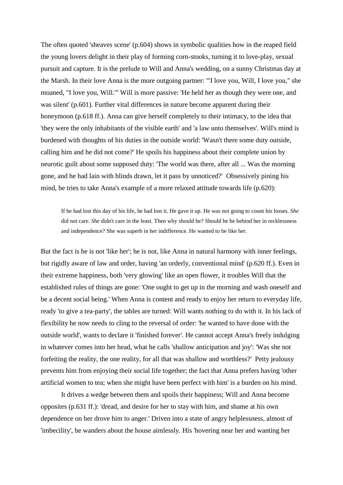The often quoted 'sheaves scene' (p.604) shows in symbolic qualities how in the reaped field the young lovers delight in their play of forming corn-stooks, turning it to love-play, sexual pursuit and capture. It is the prelude to Will and Anna's wedding, on a sunny Christmas day at the Marsh. In their love Anna is the more outgoing partner: '"I love you, Will, I love you," she moaned, "I love you, Will."' Will is more passive: 'He held her as though they were one, and was silent' (p.601). Further vital differences in nature become apparent during their honeymoon (p.618 ff.). Anna can give herself completely to their intimacy, to the idea that 'they were the only inhabitants of the visible earth' and 'a law unto themselves'. Will's mind is burdened with thoughts of his duties in the outside world: 'Wasn't there some duty outside, calling him and he did not come?' He spoils his happiness about their complete union by neurotic guilt about some supposed duty: 'The world was there, after all ... Was the morning gone, and he had lain with blinds drawn, let it pass by unnoticed?' Obsessively pining his mind, he tries to take Anna's example of a more relaxed attitude towards life (p.620):

If he had lost this day of his life, he had lost it. He gave it up. He was not going to count his losses. *She* did not care. *She* didn't care in the least. Then why should he? Should he be behind her in recklessness and independence? She was superb in her indifference. He wanted to be like her.

But the fact is he is not 'like her'; he is not, like Anna in natural harmony with inner feelings, but rigidly aware of law and order, having 'an orderly, conventional mind' (p.620 ff.). Even in their extreme happiness, both 'very glowing' like an open flower, it troubles Will that the established rules of things are gone: 'One ought to get up in the morning and wash oneself and be a decent social being.' When Anna is content and ready to enjoy her return to everyday life, ready 'to give a tea-party', the tables are turned: Will wants nothing to do with it. In his lack of flexibility he now needs to cling to the reversal of order: 'he wanted to have done with the outside world', wants to declare it 'finished forever'. He cannot accept Anna's freely indulging in whatever comes into her head, what he calls 'shallow anticipation and joy': 'Was she not forfeiting the reality, the one reality, for all that was shallow and worthless?' Petty jealousy prevents him from enjoying their social life together; the fact that Anna prefers having 'other artificial women to tea; when she might have been perfect with him' is a burden on his mind.

It drives a wedge between them and spoils their happiness; Will and Anna become opposites (p.631 ff.): 'dread, and desire for her to stay with him, and shame at his own dependence on her drove him to anger.' Driven into a state of angry helplessness, almost of 'imbecility', he wanders about the house aimlessly. His 'hovering near her and wanting her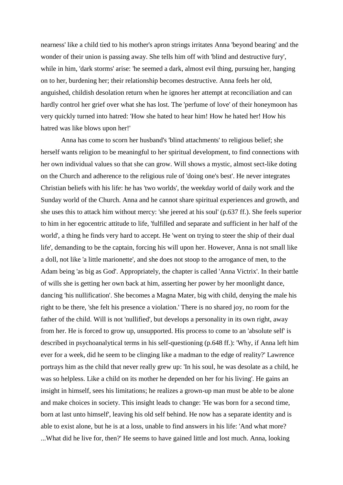nearness' like a child tied to his mother's apron strings irritates Anna 'beyond bearing' and the wonder of their union is passing away. She tells him off with 'blind and destructive fury', while in him, 'dark storms' arise: 'he seemed a dark, almost evil thing, pursuing her, hanging on to her, burdening her; their relationship becomes destructive. Anna feels her old, anguished, childish desolation return when he ignores her attempt at reconciliation and can hardly control her grief over what she has lost. The 'perfume of love' of their honeymoon has very quickly turned into hatred: 'How she hated to hear him! How he hated her! How his hatred was like blows upon her!'

Anna has come to scorn her husband's 'blind attachments' to religious belief; she herself wants religion to be meaningful to her spiritual development, to find connections with her own individual values so that she can grow. Will shows a mystic, almost sect-like doting on the Church and adherence to the religious rule of 'doing one's best'. He never integrates Christian beliefs with his life: he has 'two worlds', the weekday world of daily work and the Sunday world of the Church. Anna and he cannot share spiritual experiences and growth, and she uses this to attack him without mercy: 'she jeered at his soul' (p.637 ff.). She feels superior to him in her egocentric attitude to life, 'fulfilled and separate and sufficient in her half of the world', a thing he finds very hard to accept. He 'went on trying to steer the ship of their dual life', demanding to be the captain, forcing his will upon her. However, Anna is not small like a doll, not like 'a little marionette', and she does not stoop to the arrogance of men, to the Adam being 'as big as God'. Appropriately, the chapter is called 'Anna Victrix'. In their battle of wills she is getting her own back at him, asserting her power by her moonlight dance, dancing 'his nullification'. She becomes a Magna Mater, big with child, denying the male his right to be there, 'she felt his presence a violation.' There is no shared joy, no room for the father of the child. Will is not 'nullified', but develops a personality in its own right, away from her. He is forced to grow up, unsupported. His process to come to an 'absolute self' is described in psychoanalytical terms in his self-questioning (p.648 ff.): 'Why, if Anna left him ever for a week, did he seem to be clinging like a madman to the edge of reality?' Lawrence portrays him as the child that never really grew up: 'In his soul, he was desolate as a child, he was so helpless. Like a child on its mother he depended on her for his living'. He gains an insight in himself, sees his limitations; he realizes a grown-up man must be able to be alone and make choices in society. This insight leads to change: 'He was born for a second time, born at last unto himself', leaving his old self behind. He now has a separate identity and is able to exist alone, but he is at a loss, unable to find answers in his life: 'And what more? ...What did he live for, then?' He seems to have gained little and lost much. Anna, looking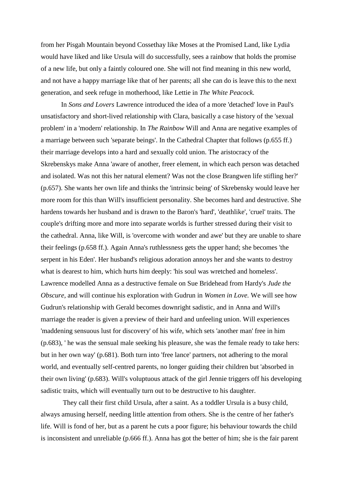from her Pisgah Mountain beyond Cossethay like Moses at the Promised Land, like Lydia would have liked and like Ursula will do successfully, sees a rainbow that holds the promise of a new life, but only a faintly coloured one. She will not find meaning in this new world, and not have a happy marriage like that of her parents; all she can do is leave this to the next generation, and seek refuge in motherhood, like Lettie in *The White Peacock.*

In *Sons and Lovers* Lawrence introduced the idea of a more 'detached' love in Paul's unsatisfactory and short-lived relationship with Clara, basically a case history of the 'sexual problem' in a 'modern' relationship. In *The Rainbow* Will and Anna are negative examples of a marriage between such 'separate beings'. In the Cathedral Chapter that follows (p.655 ff.) their marriage develops into a hard and sexually cold union. The aristocracy of the Skrebenskys make Anna 'aware of another, freer element, in which each person was detached and isolated. Was not this her natural element? Was not the close Brangwen life stifling her?' (p.657). She wants her own life and thinks the 'intrinsic being' of Skrebensky would leave her more room for this than Will's insufficient personality. She becomes hard and destructive. She hardens towards her husband and is drawn to the Baron's 'hard', 'deathlike', 'cruel' traits. The couple's drifting more and more into separate worlds is further stressed during their visit to the cathedral. Anna, like Will, is 'overcome with wonder and awe' but they are unable to share their feelings (p.658 ff.). Again Anna's ruthlessness gets the upper hand; she becomes 'the serpent in his Eden'. Her husband's religious adoration annoys her and she wants to destroy what is dearest to him, which hurts him deeply: 'his soul was wretched and homeless'. Lawrence modelled Anna as a destructive female on Sue Bridehead from Hardy's *Jude the Obscure,* and will continue his exploration with Gudrun in *Women in Love.* We will see how Gudrun's relationship with Gerald becomes downright sadistic, and in Anna and Will's marriage the reader is given a preview of their hard and unfeeling union. Will experiences 'maddening sensuous lust for discovery' of his wife, which sets 'another man' free in him (p.683), ' he was the sensual male seeking his pleasure, she was the female ready to take hers: but in her own way' (p.681). Both turn into 'free lance' partners, not adhering to the moral world, and eventually self-centred parents, no longer guiding their children but 'absorbed in their own living' (p.683). Will's voluptuous attack of the girl Jennie triggers off his developing sadistic traits, which will eventually turn out to be destructive to his daughter.

They call their first child Ursula, after a saint. As a toddler Ursula is a busy child, always amusing herself, needing little attention from others. She is the centre of her father's life. Will is fond of her, but as a parent he cuts a poor figure; his behaviour towards the child is inconsistent and unreliable (p.666 ff.). Anna has got the better of him; she is the fair parent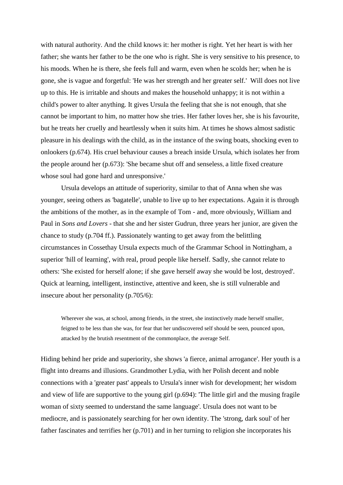with natural authority. And the child knows it: her mother is right. Yet her heart is with her father; she wants her father to be the one who is right. She is very sensitive to his presence, to his moods. When he is there, she feels full and warm, even when he scolds her; when he is gone, she is vague and forgetful: 'He was her strength and her greater self.' Will does not live up to this. He is irritable and shouts and makes the household unhappy; it is not within a child's power to alter anything. It gives Ursula the feeling that she is not enough, that she cannot be important to him, no matter how she tries. Her father loves her, she is his favourite, but he treats her cruelly and heartlessly when it suits him. At times he shows almost sadistic pleasure in his dealings with the child, as in the instance of the swing boats, shocking even to onlookers (p.674). His cruel behaviour causes a breach inside Ursula, which isolates her from the people around her (p.673): 'She became shut off and senseless, a little fixed creature whose soul had gone hard and unresponsive.'

Ursula develops an attitude of superiority, similar to that of Anna when she was younger, seeing others as 'bagatelle', unable to live up to her expectations. Again it is through the ambitions of the mother, as in the example of Tom - and, more obviously, William and Paul in *Sons and Lovers* - that she and her sister Gudrun, three years her junior, are given the chance to study (p.704 ff.). Passionately wanting to get away from the belittling circumstances in Cossethay Ursula expects much of the Grammar School in Nottingham, a superior 'hill of learning', with real, proud people like herself. Sadly, she cannot relate to others: 'She existed for herself alone; if she gave herself away she would be lost, destroyed'. Quick at learning, intelligent, instinctive, attentive and keen, she is still vulnerable and insecure about her personality (p.705/6):

Wherever she was, at school, among friends, in the street, she instinctively made herself smaller, feigned to be less than she was, for fear that her undiscovered self should be seen, pounced upon, attacked by the brutish resentment of the commonplace, the average Self.

Hiding behind her pride and superiority, she shows 'a fierce, animal arrogance'. Her youth is a flight into dreams and illusions. Grandmother Lydia, with her Polish decent and noble connections with a 'greater past' appeals to Ursula's inner wish for development; her wisdom and view of life are supportive to the young girl (p.694): 'The little girl and the musing fragile woman of sixty seemed to understand the same language'. Ursula does not want to be mediocre, and is passionately searching for her own identity. The 'strong, dark soul' of her father fascinates and terrifies her (p.701) and in her turning to religion she incorporates his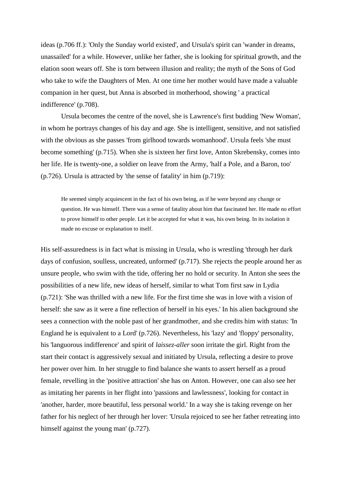ideas (p.706 ff.): 'Only the Sunday world existed', and Ursula's spirit can 'wander in dreams, unassailed' for a while. However, unlike her father, she is looking for spiritual growth, and the elation soon wears off. She is torn between illusion and reality; the myth of the Sons of God who take to wife the Daughters of Men. At one time her mother would have made a valuable companion in her quest, but Anna is absorbed in motherhood, showing ' a practical indifference' (p.708).

Ursula becomes the centre of the novel, she is Lawrence's first budding 'New Woman', in whom he portrays changes of his day and age. She is intelligent, sensitive, and not satisfied with the obvious as she passes 'from girlhood towards womanhood'. Ursula feels 'she must become something' (p.715). When she is sixteen her first love, Anton Skrebensky, comes into her life. He is twenty-one, a soldier on leave from the Army, 'half a Pole, and a Baron, too' (p.726). Ursula is attracted by 'the sense of fatality' in him (p.719):

He seemed simply acquiescent in the fact of his own being, as if he were beyond any change or question. He was himself. There was a sense of fatality about him that fascinated her. He made no effort to prove himself to other people. Let it be accepted for what it was, his own being. In its isolation it made no excuse or explanation to itself.

His self-assuredness is in fact what is missing in Ursula, who is wrestling 'through her dark days of confusion, soulless, uncreated, unformed' (p.717). She rejects the people around her as unsure people, who swim with the tide, offering her no hold or security. In Anton she sees the possibilities of a new life, new ideas of herself, similar to what Tom first saw in Lydia (p.721): 'She was thrilled with a new life. For the first time she was in love with a vision of herself: she saw as it were a fine reflection of herself in his eyes.' In his alien background she sees a connection with the noble past of her grandmother, and she credits him with status: 'In England he is equivalent to a Lord' (p.726). Nevertheless, his 'lazy' and 'floppy' personality, his 'languorous indifference' and spirit of *laissez-aller* soon irritate the girl. Right from the start their contact is aggressively sexual and initiated by Ursula, reflecting a desire to prove her power over him. In her struggle to find balance she wants to assert herself as a proud female, revelling in the 'positive attraction' she has on Anton. However, one can also see her as imitating her parents in her flight into 'passions and lawlessness', looking for contact in 'another, harder, more beautiful, less personal world.' In a way she is taking revenge on her father for his neglect of her through her lover: 'Ursula rejoiced to see her father retreating into himself against the young man' (p.727).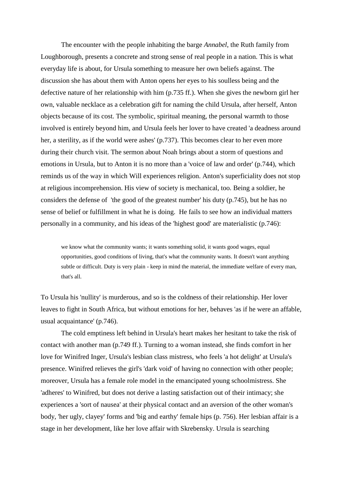The encounter with the people inhabiting the barge *Annabel*, the Ruth family from Loughborough, presents a concrete and strong sense of real people in a nation. This is what everyday life is about, for Ursula something to measure her own beliefs against. The discussion she has about them with Anton opens her eyes to his soulless being and the defective nature of her relationship with him (p.735 ff.). When she gives the newborn girl her own, valuable necklace as a celebration gift for naming the child Ursula, after herself, Anton objects because of its cost. The symbolic, spiritual meaning, the personal warmth to those involved is entirely beyond him, and Ursula feels her lover to have created 'a deadness around her, a sterility, as if the world were ashes' (p.737). This becomes clear to her even more during their church visit. The sermon about Noah brings about a storm of questions and emotions in Ursula, but to Anton it is no more than a 'voice of law and order' (p.744), which reminds us of the way in which Will experiences religion. Anton's superficiality does not stop at religious incomprehension. His view of society is mechanical, too. Being a soldier, he considers the defense of 'the good of the greatest number' his duty (p.745), but he has no sense of belief or fulfillment in what he is doing. He fails to see how an individual matters personally in a community, and his ideas of the 'highest good' are materialistic (p.746):

we know what the community wants; it wants something solid, it wants good wages, equal opportunities, good conditions of living, that's what the community wants. It doesn't want anything subtle or difficult. Duty is very plain - keep in mind the material, the immediate welfare of every man, that's all.

To Ursula his 'nullity' is murderous, and so is the coldness of their relationship. Her lover leaves to fight in South Africa, but without emotions for her, behaves 'as if he were an affable, usual acquaintance' (p.746).

The cold emptiness left behind in Ursula's heart makes her hesitant to take the risk of contact with another man (p.749 ff.). Turning to a woman instead, she finds comfort in her love for Winifred Inger, Ursula's lesbian class mistress, who feels 'a hot delight' at Ursula's presence. Winifred relieves the girl's 'dark void' of having no connection with other people; moreover, Ursula has a female role model in the emancipated young schoolmistress. She 'adheres' to Winifred, but does not derive a lasting satisfaction out of their intimacy; she experiences a 'sort of nausea' at their physical contact and an aversion of the other woman's body, 'her ugly, clayey' forms and 'big and earthy' female hips (p. 756). Her lesbian affair is a stage in her development, like her love affair with Skrebensky. Ursula is searching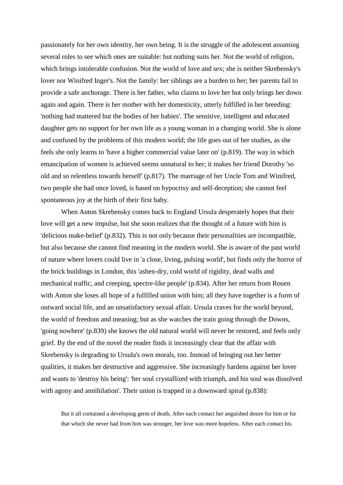passionately for her own identity, her own being. It is the struggle of the adolescent assuming several roles to see which ones are suitable: but nothing suits her. Not the world of religion, which brings intolerable confusion. Not the world of love and sex; she is neither Skrebensky's lover nor Winifred Inger's. Not the family: her siblings are a burden to her; her parents fail to provide a safe anchorage. There is her father, who claims to love her but only brings her down again and again. There is her mother with her domesticity, utterly fulfilled in her breeding: 'nothing had mattered but the bodies of her babies'. The sensitive, intelligent and educated daughter gets no support for her own life as a young woman in a changing world. She is alone and confused by the problems of this modern world; the life goes out of her studies, as she feels she only learns to 'have a higher commercial value later on' (p.819). The way in which emancipation of women is achieved seems unnatural to her; it makes her friend Dorothy 'so old and so relentless towards herself' (p.817). The marriage of her Uncle Tom and Winifred, two people she had once loved, is based on hypocrisy and self-deception; she cannot feel spontaneous joy at the birth of their first baby.

When Anton Skrebensky comes back to England Ursula desperately hopes that their love will get a new impulse, but she soon realizes that the thought of a future with him is 'delicious make-belief' (p.832). This is not only because their personalities are incompatible, but also because she cannot find meaning in the modern world. She is aware of the past world of nature where lovers could live in 'a close, living, pulsing world', but finds only the horror of the brick buildings in London, this 'ashen-dry, cold world of rigidity, dead walls and mechanical traffic, and creeping, spectre-like people' (p.834). After her return from Rouen with Anton she loses all hope of a fulfilled union with him; all they have together is a form of outward social life, and an unsatisfactory sexual affair. Ursula craves for the world beyond, the world of freedom and meaning; but as she watches the train going through the Downs, 'going nowhere' (p.839) she knows the old natural world will never be restored, and feels only grief. By the end of the novel the reader finds it increasingly clear that the affair with Skrebensky is degrading to Ursula's own morals, too. Instead of bringing out her better qualities, it makes her destructive and aggressive. She increasingly hardens against her lover and wants to 'destroy his being': 'her soul crystallized with triumph, and his soul was dissolved with agony and annihilation'. Their union is trapped in a downward spiral (p.838):

But it all contained a developing germ of death. After each contact her anguished desire for him or for that which she never had from him was stronger, her love was more hopeless. After each contact his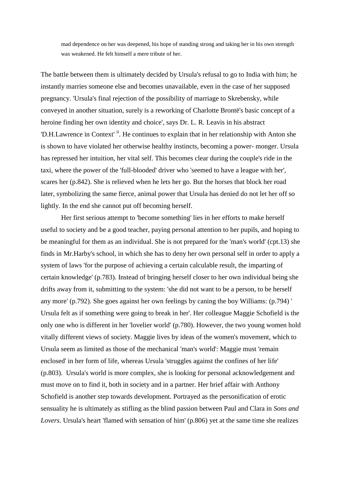mad dependence on her was deepened, his hope of standing strong and taking her in his own strength was weakened. He felt himself a mere tribute of her.

The battle between them is ultimately decided by Ursula's refusal to go to India with him; he instantly marries someone else and becomes unavailable, even in the case of her supposed pregnancy. 'Ursula's final rejection of the possibility of marriage to Skrebensky, while conveyed in another situation, surely is a reworking of Charlotte Brontë's basic concept of a heroine finding her own identity and choice', says Dr. L. R. Leavis in his abstract 'D.H.Lawrence in Context'<sup>ii</sup>. He continues to explain that in her relationship with Anton she is shown to have violated her otherwise healthy instincts, becoming a power- monger. Ursula has repressed her intuition, her vital self. This becomes clear during the couple's ride in the taxi, where the power of the 'full-blooded' driver who 'seemed to have a league with her', scares her (p.842). She is relieved when he lets her go. But the horses that block her road later, symbolizing the same fierce, animal power that Ursula has denied do not let her off so lightly. In the end she cannot put off becoming herself.

Her first serious attempt to 'become something' lies in her efforts to make herself useful to society and be a good teacher, paying personal attention to her pupils, and hoping to be meaningful for them as an individual. She is not prepared for the 'man's world' (cpt.13) she finds in Mr.Harby's school, in which she has to deny her own personal self in order to apply a system of laws 'for the purpose of achieving a certain calculable result, the imparting of certain knowledge' (p.783). Instead of bringing herself closer to her own individual being she drifts away from it, submitting to the system: 'she did not want to be a person, to be herself any more' (p.792). She goes against her own feelings by caning the boy Williams: (p.794) ' Ursula felt as if something were going to break in her'. Her colleague Maggie Schofield is the only one who is different in her 'lovelier world' (p.780). However, the two young women hold vitally different views of society. Maggie lives by ideas of the women's movement, which to Ursula seem as limited as those of the mechanical 'man's world': Maggie must 'remain enclosed' in her form of life, whereas Ursula 'struggles against the confines of her life' (p.803). Ursula's world is more complex, she is looking for personal acknowledgement and must move on to find it, both in society and in a partner. Her brief affair with Anthony Schofield is another step towards development. Portrayed as the personification of erotic sensuality he is ultimately as stifling as the blind passion between Paul and Clara in *Sons and Lovers.* Ursula's heart 'flamed with sensation of him' (p.806) yet at the same time she realizes